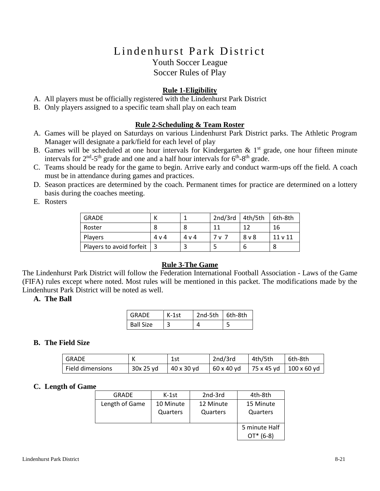# Lindenhurst Park District Youth Soccer League

Soccer Rules of Play

# **Rule 1-Eligibility**

- A. All players must be officially registered with the Lindenhurst Park District
- B. Only players assigned to a specific team shall play on each team

## **Rule 2-Scheduling & Team Roster**

- A. Games will be played on Saturdays on various Lindenhurst Park District parks. The Athletic Program Manager will designate a park/field for each level of play
- B. Games will be scheduled at one hour intervals for Kindergarten  $\& 1<sup>st</sup>$  grade, one hour fifteen minute intervals for  $2^{nd}$ -5<sup>th</sup> grade and one and a half hour intervals for  $6^{th}$ -8<sup>th</sup> grade.
- C. Teams should be ready for the game to begin. Arrive early and conduct warm-ups off the field. A coach must be in attendance during games and practices.
- D. Season practices are determined by the coach. Permanent times for practice are determined on a lottery basis during the coaches meeting.
- E. Rosters

| <b>GRADE</b>             |       |       | 2nd/3rd | 4th/5th | 6th-8th |
|--------------------------|-------|-------|---------|---------|---------|
| Roster                   |       | 8     | 11      | 1 ว     | 16      |
| Players                  | 4 v 4 | 4 v 4 | 7 v 7   | 8 v 8   | 11 v 11 |
| Players to avoid forfeit |       |       |         | b       |         |

#### **Rule 3-The Game**

The Lindenhurst Park District will follow the Federation International Football Association - Laws of the Game (FIFA) rules except where noted. Most rules will be mentioned in this packet. The modifications made by the Lindenhurst Park District will be noted as well.

#### **A. The Ball**

| GRADE            | $K-1st$ | $2nd-5th$ 6th-8th |  |
|------------------|---------|-------------------|--|
| <b>Ball Size</b> |         |                   |  |

# **B. The Field Size**

| GRADE            |           | 1st        | 2nd/3rd    | 4th/5th | 6th-8th                  |
|------------------|-----------|------------|------------|---------|--------------------------|
| Field dimensions | 30x 25 vd | 40 x 30 yd | 60 x 40 yd |         | 75 x 45 yd   100 x 60 yd |

#### **C. Length of Game**

| <b>GRADE</b>   | $K-1st$   | 2nd-3rd   | 4th-8th       |
|----------------|-----------|-----------|---------------|
| Length of Game | 10 Minute | 12 Minute | 15 Minute     |
|                | Quarters  | Quarters  | Quarters      |
|                |           |           |               |
|                |           |           | 5 minute Half |
|                |           |           | $(6-8)$       |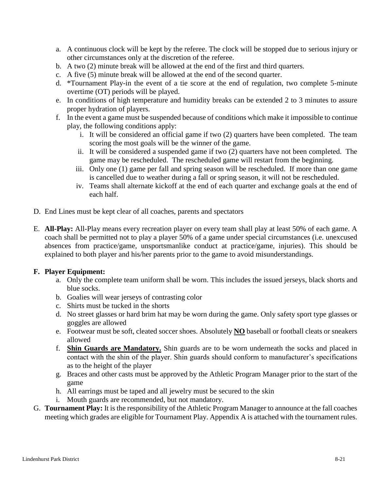- a. A continuous clock will be kept by the referee. The clock will be stopped due to serious injury or other circumstances only at the discretion of the referee.
- b. A two (2) minute break will be allowed at the end of the first and third quarters.
- c. A five (5) minute break will be allowed at the end of the second quarter.
- d. \*Tournament Play-in the event of a tie score at the end of regulation, two complete 5-minute overtime (OT) periods will be played.
- e. In conditions of high temperature and humidity breaks can be extended 2 to 3 minutes to assure proper hydration of players.
- f. In the event a game must be suspended because of conditions which make it impossible to continue play, the following conditions apply:
	- i. It will be considered an official game if two (2) quarters have been completed. The team scoring the most goals will be the winner of the game.
	- ii. It will be considered a suspended game if two (2) quarters have not been completed. The game may be rescheduled. The rescheduled game will restart from the beginning.
	- iii. Only one (1) game per fall and spring season will be rescheduled. If more than one game is cancelled due to weather during a fall or spring season, it will not be rescheduled.
	- iv. Teams shall alternate kickoff at the end of each quarter and exchange goals at the end of each half.
- D. End Lines must be kept clear of all coaches, parents and spectators
- E. **All-Play:** All-Play means every recreation player on every team shall play at least 50% of each game. A coach shall be permitted not to play a player 50% of a game under special circumstances (i.e. unexcused absences from practice/game, unsportsmanlike conduct at practice/game, injuries). This should be explained to both player and his/her parents prior to the game to avoid misunderstandings.

#### **F. Player Equipment:**

- a. Only the complete team uniform shall be worn. This includes the issued jerseys, black shorts and blue socks.
- b. Goalies will wear jerseys of contrasting color
- c. Shirts must be tucked in the shorts
- d. No street glasses or hard brim hat may be worn during the game. Only safety sport type glasses or goggles are allowed
- e. Footwear must be soft, cleated soccer shoes. Absolutely **NO** baseball or football cleats or sneakers allowed
- f. **Shin Guards are Mandatory.** Shin guards are to be worn underneath the socks and placed in contact with the shin of the player. Shin guards should conform to manufacturer's specifications as to the height of the player
- g. Braces and other casts must be approved by the Athletic Program Manager prior to the start of the game
- h. All earrings must be taped and all jewelry must be secured to the skin
- i. Mouth guards are recommended, but not mandatory.
- G. **Tournament Play:** It is the responsibility of the Athletic Program Manager to announce at the fall coaches meeting which grades are eligible for Tournament Play. Appendix A is attached with the tournament rules.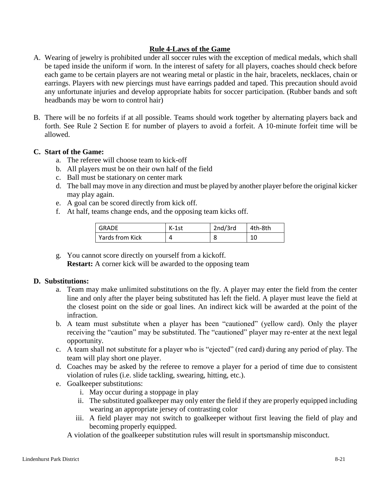## **Rule 4-Laws of the Game**

- A. Wearing of jewelry is prohibited under all soccer rules with the exception of medical medals, which shall be taped inside the uniform if worn. In the interest of safety for all players, coaches should check before each game to be certain players are not wearing metal or plastic in the hair, bracelets, necklaces, chain or earrings. Players with new piercings must have earrings padded and taped. This precaution should avoid any unfortunate injuries and develop appropriate habits for soccer participation. (Rubber bands and soft headbands may be worn to control hair)
- B. There will be no forfeits if at all possible. Teams should work together by alternating players back and forth. See Rule 2 Section E for number of players to avoid a forfeit. A 10-minute forfeit time will be allowed.

## **C. Start of the Game:**

- a. The referee will choose team to kick-off
- b. All players must be on their own half of the field
- c. Ball must be stationary on center mark
- d. The ball may move in any direction and must be played by another player before the original kicker may play again.
- e. A goal can be scored directly from kick off.
- f. At half, teams change ends, and the opposing team kicks off.

| <b>GRADE</b>    | $K-1st$ | 2nd/3rd | 4th-8th |
|-----------------|---------|---------|---------|
| Yards from Kick |         |         | 10      |

g. You cannot score directly on yourself from a kickoff. **Restart:** A corner kick will be awarded to the opposing team

#### **D. Substitutions:**

- a. Team may make unlimited substitutions on the fly. A player may enter the field from the center line and only after the player being substituted has left the field. A player must leave the field at the closest point on the side or goal lines. An indirect kick will be awarded at the point of the infraction.
- b. A team must substitute when a player has been "cautioned" (yellow card). Only the player receiving the "caution" may be substituted. The "cautioned" player may re-enter at the next legal opportunity.
- c. A team shall not substitute for a player who is "ejected" (red card) during any period of play. The team will play short one player.
- d. Coaches may be asked by the referee to remove a player for a period of time due to consistent violation of rules (i.e. slide tackling, swearing, hitting, etc.).
- e. Goalkeeper substitutions:
	- i. May occur during a stoppage in play
	- ii. The substituted goalkeeper may only enter the field if they are properly equipped including wearing an appropriate jersey of contrasting color
	- iii. A field player may not switch to goalkeeper without first leaving the field of play and becoming properly equipped.
	- A violation of the goalkeeper substitution rules will result in sportsmanship misconduct.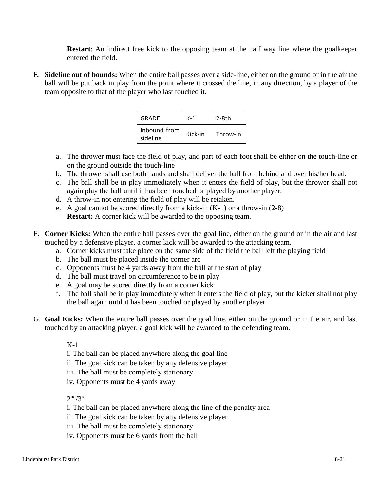**Restart**: An indirect free kick to the opposing team at the half way line where the goalkeeper entered the field.

E. **Sideline out of bounds:** When the entire ball passes over a side-line, either on the ground or in the air the ball will be put back in play from the point where it crossed the line, in any direction, by a player of the team opposite to that of the player who last touched it.

| GRADE                    | K-1     | $2-8th$  |
|--------------------------|---------|----------|
| Inbound from<br>sideline | Kick-in | Throw-in |

- a. The thrower must face the field of play, and part of each foot shall be either on the touch-line or on the ground outside the touch-line
- b. The thrower shall use both hands and shall deliver the ball from behind and over his/her head.
- c. The ball shall be in play immediately when it enters the field of play, but the thrower shall not again play the ball until it has been touched or played by another player.
- d. A throw-in not entering the field of play will be retaken.
- e. A goal cannot be scored directly from a kick-in  $(K-1)$  or a throw-in  $(2-8)$ **Restart:** A corner kick will be awarded to the opposing team.
- F. **Corner Kicks:** When the entire ball passes over the goal line, either on the ground or in the air and last touched by a defensive player, a corner kick will be awarded to the attacking team.
	- a. Corner kicks must take place on the same side of the field the ball left the playing field
	- b. The ball must be placed inside the corner arc
	- c. Opponents must be 4 yards away from the ball at the start of play
	- d. The ball must travel on circumference to be in play
	- e. A goal may be scored directly from a corner kick
	- f. The ball shall be in play immediately when it enters the field of play, but the kicker shall not play the ball again until it has been touched or played by another player
- G. **Goal Kicks:** When the entire ball passes over the goal line, either on the ground or in the air, and last touched by an attacking player, a goal kick will be awarded to the defending team.

K-1

- i. The ball can be placed anywhere along the goal line
- ii. The goal kick can be taken by any defensive player
- iii. The ball must be completely stationary
- iv. Opponents must be 4 yards away

 $2<sup>nd</sup>/3<sup>rd</sup>$ 

- i. The ball can be placed anywhere along the line of the penalty area
- ii. The goal kick can be taken by any defensive player
- iii. The ball must be completely stationary
- iv. Opponents must be 6 yards from the ball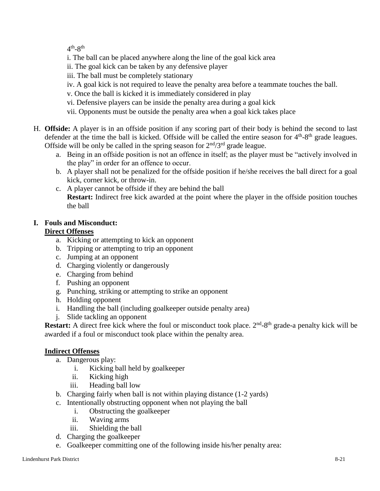$4<sup>th</sup> - 8<sup>th</sup>$ 

- i. The ball can be placed anywhere along the line of the goal kick area
- ii. The goal kick can be taken by any defensive player
- iii. The ball must be completely stationary
- iv. A goal kick is not required to leave the penalty area before a teammate touches the ball.
- v. Once the ball is kicked it is immediately considered in play
- vi. Defensive players can be inside the penalty area during a goal kick
- vii. Opponents must be outside the penalty area when a goal kick takes place
- H. **Offside:** A player is in an offside position if any scoring part of their body is behind the second to last defender at the time the ball is kicked. Offside will be called the entire season for  $4<sup>th</sup>-8<sup>th</sup>$  grade leagues. Offside will be only be called in the spring season for  $2<sup>nd</sup>/3<sup>rd</sup>$  grade league.
	- a. Being in an offside position is not an offence in itself; as the player must be "actively involved in the play" in order for an offence to occur.
	- b. A player shall not be penalized for the offside position if he/she receives the ball direct for a goal kick, corner kick, or throw-in.
	- c. A player cannot be offside if they are behind the ball **Restart:** Indirect free kick awarded at the point where the player in the offside position touches the ball

# **I. Fouls and Misconduct:**

# **Direct Offenses**

- a. Kicking or attempting to kick an opponent
- b. Tripping or attempting to trip an opponent
- c. Jumping at an opponent
- d. Charging violently or dangerously
- e. Charging from behind
- f. Pushing an opponent
- g. Punching, striking or attempting to strike an opponent
- h. Holding opponent
- i. Handling the ball (including goalkeeper outside penalty area)
- j. Slide tackling an opponent

**Restart:** A direct free kick where the foul or misconduct took place. 2<sup>nd</sup>-8<sup>th</sup> grade-a penalty kick will be awarded if a foul or misconduct took place within the penalty area.

# **Indirect Offenses**

- a. Dangerous play:
	- i. Kicking ball held by goalkeeper
	- ii. Kicking high
	- iii. Heading ball low
- b. Charging fairly when ball is not within playing distance (1-2 yards)
- c. Intentionally obstructing opponent when not playing the ball
	- i. Obstructing the goalkeeper
	- ii. Waving arms
	- iii. Shielding the ball
- d. Charging the goalkeeper
- e. Goalkeeper committing one of the following inside his/her penalty area: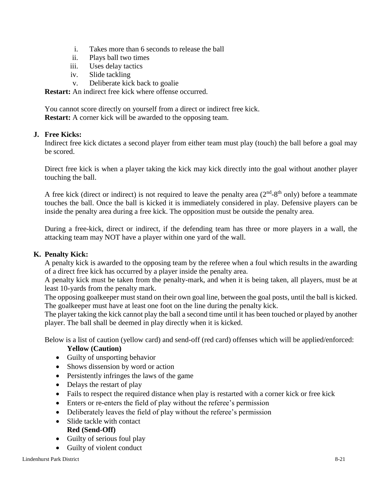- i. Takes more than 6 seconds to release the ball
- ii. Plays ball two times
- iii. Uses delay tactics
- iv. Slide tackling
- v. Deliberate kick back to goalie

**Restart:** An indirect free kick where offense occurred.

You cannot score directly on yourself from a direct or indirect free kick. **Restart:** A corner kick will be awarded to the opposing team.

#### **J. Free Kicks:**

Indirect free kick dictates a second player from either team must play (touch) the ball before a goal may be scored.

Direct free kick is when a player taking the kick may kick directly into the goal without another player touching the ball.

A free kick (direct or indirect) is not required to leave the penalty area  $(2<sup>nd</sup>-8<sup>th</sup>$  only) before a teammate touches the ball. Once the ball is kicked it is immediately considered in play. Defensive players can be inside the penalty area during a free kick. The opposition must be outside the penalty area.

During a free-kick, direct or indirect, if the defending team has three or more players in a wall, the attacking team may NOT have a player within one yard of the wall.

#### **K. Penalty Kick:**

A penalty kick is awarded to the opposing team by the referee when a foul which results in the awarding of a direct free kick has occurred by a player inside the penalty area.

A penalty kick must be taken from the penalty-mark, and when it is being taken, all players, must be at least 10-yards from the penalty mark.

The opposing goalkeeper must stand on their own goal line, between the goal posts, until the ball is kicked. The goalkeeper must have at least one foot on the line during the penalty kick.

The player taking the kick cannot play the ball a second time until it has been touched or played by another player. The ball shall be deemed in play directly when it is kicked.

Below is a list of caution (yellow card) and send-off (red card) offenses which will be applied/enforced:

#### **Yellow (Caution)**

- Guilty of unsporting behavior
- Shows dissension by word or action
- Persistently infringes the laws of the game
- Delays the restart of play
- Fails to respect the required distance when play is restarted with a corner kick or free kick
- Enters or re-enters the field of play without the referee's permission
- Deliberately leaves the field of play without the referee's permission
- Slide tackle with contact **Red (Send-Off)**
- Guilty of serious foul play
- Guilty of violent conduct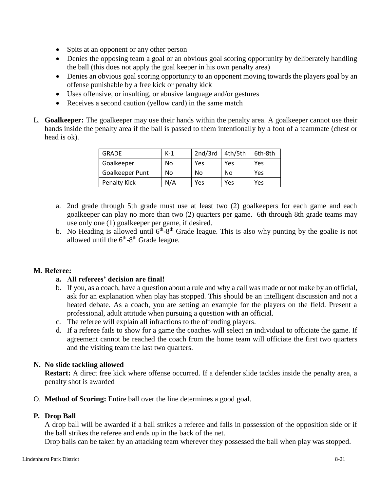- Spits at an opponent or any other person
- Denies the opposing team a goal or an obvious goal scoring opportunity by deliberately handling the ball (this does not apply the goal keeper in his own penalty area)
- Denies an obvious goal scoring opportunity to an opponent moving towards the players goal by an offense punishable by a free kick or penalty kick
- Uses offensive, or insulting, or abusive language and/or gestures
- Receives a second caution (yellow card) in the same match
- L. **Goalkeeper:** The goalkeeper may use their hands within the penalty area. A goalkeeper cannot use their hands inside the penalty area if the ball is passed to them intentionally by a foot of a teammate (chest or head is ok).

| <b>GRADE</b>    | $K-1$ | 2nd/3rd | 4th/5th | 6th-8th |
|-----------------|-------|---------|---------|---------|
| Goalkeeper      | No    | Yes     | Yes     | Yes     |
| Goalkeeper Punt | No    | No      | No      | Yes     |
| Penalty Kick    | N/A   | Yes     | Yes     | Yes     |

- a. 2nd grade through 5th grade must use at least two (2) goalkeepers for each game and each goalkeeper can play no more than two (2) quarters per game. 6th through 8th grade teams may use only one (1) goalkeeper per game, if desired.
- b. No Heading is allowed until  $6<sup>th</sup> 8<sup>th</sup>$  Grade league. This is also why punting by the goalie is not allowed until the  $6<sup>th</sup>-8<sup>th</sup>$  Grade league.

# **M. Referee:**

# **a. All referees' decision are final!**

- b. If you, as a coach, have a question about a rule and why a call was made or not make by an official, ask for an explanation when play has stopped. This should be an intelligent discussion and not a heated debate. As a coach, you are setting an example for the players on the field. Present a professional, adult attitude when pursuing a question with an official.
- c. The referee will explain all infractions to the offending players.
- d. If a referee fails to show for a game the coaches will select an individual to officiate the game. If agreement cannot be reached the coach from the home team will officiate the first two quarters and the visiting team the last two quarters.

#### **N. No slide tackling allowed**

**Restart:** A direct free kick where offense occurred. If a defender slide tackles inside the penalty area, a penalty shot is awarded

O. **Method of Scoring:** Entire ball over the line determines a good goal.

# **P. Drop Ball**

A drop ball will be awarded if a ball strikes a referee and falls in possession of the opposition side or if the ball strikes the referee and ends up in the back of the net.

Drop balls can be taken by an attacking team wherever they possessed the ball when play was stopped.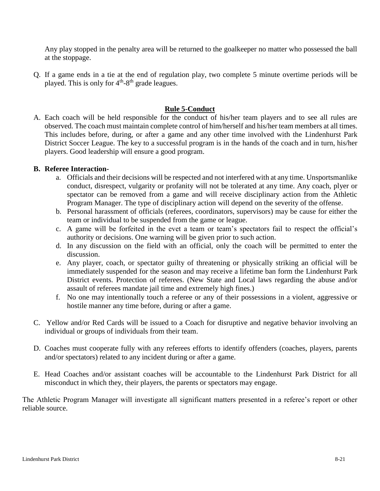Any play stopped in the penalty area will be returned to the goalkeeper no matter who possessed the ball at the stoppage.

Q. If a game ends in a tie at the end of regulation play, two complete 5 minute overtime periods will be played. This is only for  $4<sup>th</sup>-8<sup>th</sup>$  grade leagues.

## **Rule 5-Conduct**

A. Each coach will be held responsible for the conduct of his/her team players and to see all rules are observed. The coach must maintain complete control of him/herself and his/her team members at all times. This includes before, during, or after a game and any other time involved with the Lindenhurst Park District Soccer League. The key to a successful program is in the hands of the coach and in turn, his/her players. Good leadership will ensure a good program.

#### **B. Referee Interaction-**

- a. Officials and their decisions will be respected and not interfered with at any time. Unsportsmanlike conduct, disrespect, vulgarity or profanity will not be tolerated at any time. Any coach, plyer or spectator can be removed from a game and will receive disciplinary action from the Athletic Program Manager. The type of disciplinary action will depend on the severity of the offense.
- b. Personal harassment of officials (referees, coordinators, supervisors) may be cause for either the team or individual to be suspended from the game or league.
- c. A game will be forfeited in the evet a team or team's spectators fail to respect the official's authority or decisions. One warning will be given prior to such action.
- d. In any discussion on the field with an official, only the coach will be permitted to enter the discussion.
- e. Any player, coach, or spectator guilty of threatening or physically striking an official will be immediately suspended for the season and may receive a lifetime ban form the Lindenhurst Park District events. Protection of referees. (New State and Local laws regarding the abuse and/or assault of referees mandate jail time and extremely high fines.)
- f. No one may intentionally touch a referee or any of their possessions in a violent, aggressive or hostile manner any time before, during or after a game.
- C. Yellow and/or Red Cards will be issued to a Coach for disruptive and negative behavior involving an individual or groups of individuals from their team.
- D. Coaches must cooperate fully with any referees efforts to identify offenders (coaches, players, parents and/or spectators) related to any incident during or after a game.
- E. Head Coaches and/or assistant coaches will be accountable to the Lindenhurst Park District for all misconduct in which they, their players, the parents or spectators may engage.

The Athletic Program Manager will investigate all significant matters presented in a referee's report or other reliable source.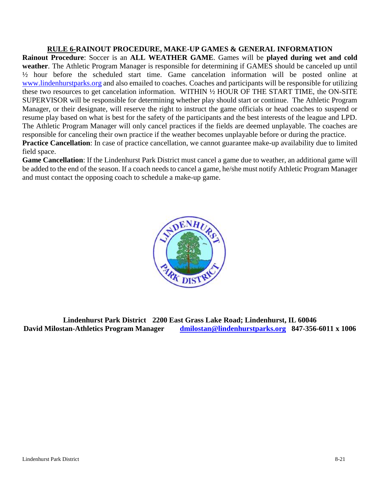#### **RULE 6-RAINOUT PROCEDURE, MAKE-UP GAMES & GENERAL INFORMATION**

**Rainout Procedure**: Soccer is an **ALL WEATHER GAME**. Games will be **played during wet and cold weather**. The Athletic Program Manager is responsible for determining if GAMES should be canceled up until ½ hour before the scheduled start time. Game cancelation information will be posted online at [www.lindenhurstparks.org](http://www.lindenhurstparks.org/) and also emailed to coaches. Coaches and participants will be responsible for utilizing these two resources to get cancelation information. WITHIN ½ HOUR OF THE START TIME, the ON-SITE SUPERVISOR will be responsible for determining whether play should start or continue. The Athletic Program Manager, or their designate, will reserve the right to instruct the game officials or head coaches to suspend or resume play based on what is best for the safety of the participants and the best interests of the league and LPD. The Athletic Program Manager will only cancel practices if the fields are deemed unplayable. The coaches are responsible for canceling their own practice if the weather becomes unplayable before or during the practice. **Practice Cancellation**: In case of practice cancellation, we cannot guarantee make-up availability due to limited field space.

**Game Cancellation**: If the Lindenhurst Park District must cancel a game due to weather, an additional game will be added to the end of the season. If a coach needs to cancel a game, he/she must notify Athletic Program Manager and must contact the opposing coach to schedule a make-up game.



**Lindenhurst Park District 2200 East Grass Lake Road; Lindenhurst, IL 60046 David Milostan-Athletics Program Manager [dmilostan@lindenhurstparks.org](mailto:dmilostan@lindenhurstparks.org) 847-356-6011 x 1006**